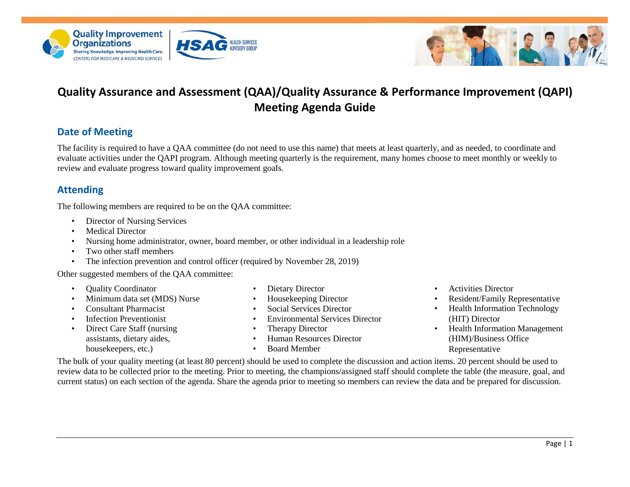



# **Quality Assurance and Assessment (QAA)/Quality Assurance & Performance Improvement (QAPI) Meeting Agenda Guide**

## **Date of Meeting**

The facility is required to have a QAA committee (do not need to use this name) that meets at least quarterly, and as needed, to coordinate and evaluate activities under the QAPI program. Although meeting quarterly is the requirement, many homes choose to meet monthly or weekly to review and evaluate progress toward quality improvement goals.

### **Attending**

The following members are required to be on the QAA committee:

- Director of Nursing Services
- Medical Director
- Nursing home administrator, owner, board member, or other individual in a leadership role

**IEALTH SERVICES** 

- Two other staff members
- The infection prevention and control officer (required by November 28, 2019)

Other suggested members of the QAA committee:

- Quality Coordinator
- Minimum data set (MDS) Nurse
- Consultant Pharmacist
- Infection Preventionist
- Direct Care Staff (nursing assistants, dietary aides, housekeepers, etc.)
- Dietary Director
- Housekeeping Director
- Social Services Director
- Environmental Services Director
- **Therapy Director**
- Human Resources Director
- Board Member
- Activities Director
- Resident/Family Representative
- Health Information Technology (HIT) Director
- Health Information Management (HIM)/Business Office Representative

The bulk of your quality meeting (at least 80 percent) should be used to complete the discussion and action items. 20 percent should be used to review data to be collected prior to the meeting. Prior to meeting, the champions/assigned staff should complete the table (the measure, goal, and current status) on each section of the agenda. Share the agenda prior to meeting so members can review the data and be prepared for discussion.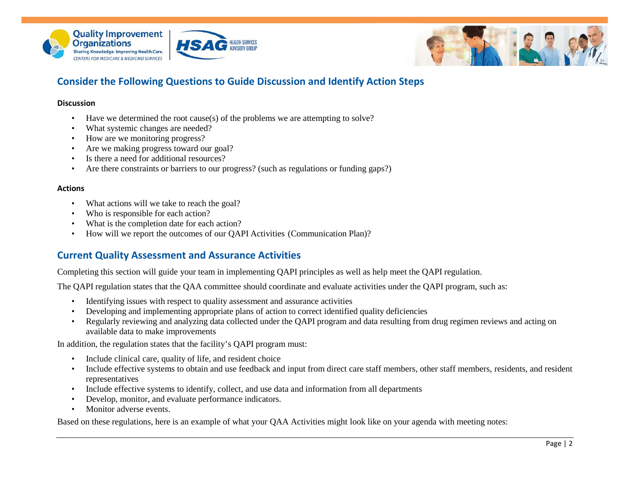



## **Consider the Following Questions to Guide Discussion and Identify Action Steps**

**HEALTH SERVICES**<br>ADVISORY GROUP

#### **Discussion**

- Have we determined the root cause(s) of the problems we are attempting to solve?
- What systemic changes are needed?
- How are we monitoring progress?
- Are we making progress toward our goal?
- Is there a need for additional resources?
- Are there constraints or barriers to our progress? (such as regulations or funding gaps?)

#### **Actions**

- What actions will we take to reach the goal?
- Who is responsible for each action?
- What is the completion date for each action?
- How will we report the outcomes of our QAPI Activities (Communication Plan)?

### **Current Quality Assessment and Assurance Activities**

Completing this section will guide your team in implementing QAPI principles as well as help meet the QAPI regulation.

The QAPI regulation states that the QAA committee should coordinate and evaluate activities under the QAPI program, such as:

- Identifying issues with respect to quality assessment and assurance activities
- Developing and implementing appropriate plans of action to correct identified quality deficiencies
- Regularly reviewing and analyzing data collected under the QAPI program and data resulting from drug regimen reviews and acting on available data to make improvements

In addition, the regulation states that the facility's QAPI program must:

- Include clinical care, quality of life, and resident choice
- Include effective systems to obtain and use feedback and input from direct care staff members, other staff members, residents, and resident representatives
- Include effective systems to identify, collect, and use data and information from all departments
- Develop, monitor, and evaluate performance indicators.
- Monitor adverse events.

Based on these regulations, here is an example of what your QAA Activities might look like on your agenda with meeting notes: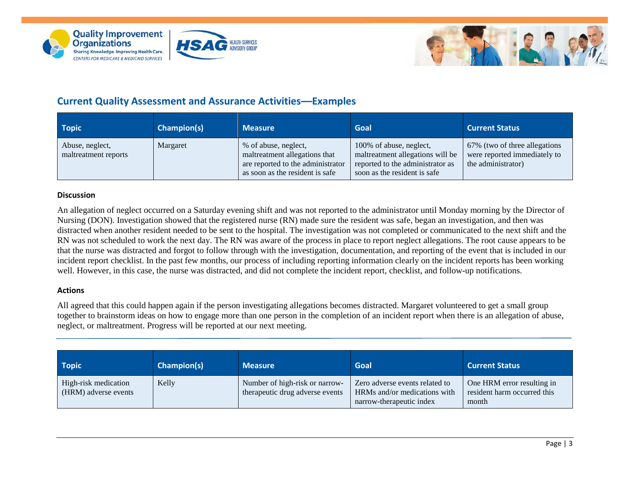





## **Current Quality Assessment and Assurance Activities—Examples**

| <b>Topic</b>                            | <b>Champion(s)</b> | <b>Measure</b>                                                                                                                | Goal                                                                                                                            | <b>Current Status</b>                                                               |
|-----------------------------------------|--------------------|-------------------------------------------------------------------------------------------------------------------------------|---------------------------------------------------------------------------------------------------------------------------------|-------------------------------------------------------------------------------------|
| Abuse, neglect,<br>maltreatment reports | Margaret           | % of abuse, neglect,<br>maltreatment allegations that<br>are reported to the administrator<br>as soon as the resident is safe | 100% of abuse, neglect,<br>maltreatment allegations will be<br>reported to the administrator as<br>soon as the resident is safe | 67% (two of three allegations<br>were reported immediately to<br>the administrator) |

#### **Discussion**

An allegation of neglect occurred on a Saturday evening shift and was not reported to the administrator until Monday morning by the Director of Nursing (DON). Investigation showed that the registered nurse (RN) made sure the resident was safe, began an investigation, and then was distracted when another resident needed to be sent to the hospital. The investigation was not completed or communicated to the next shift and the RN was not scheduled to work the next day. The RN was aware of the process in place to report neglect allegations. The root cause appears to be that the nurse was distracted and forgot to follow through with the investigation, documentation, and reporting of the event that is included in our incident report checklist. In the past few months, our process of including reporting information clearly on the incident reports has been working well. However, in this case, the nurse was distracted, and did not complete the incident report, checklist, and follow-up notifications.

#### **Actions**

All agreed that this could happen again if the person investigating allegations becomes distracted. Margaret volunteered to get a small group together to brainstorm ideas on how to engage more than one person in the completion of an incident report when there is an allegation of abuse, neglect, or maltreatment. Progress will be reported at our next meeting.

| <b>Topic</b>                                 | <b>Champion(s)</b> | <b>Measure</b>                                                    | <b>Goal</b>                                                                                | <b>Current Status</b>                                              |
|----------------------------------------------|--------------------|-------------------------------------------------------------------|--------------------------------------------------------------------------------------------|--------------------------------------------------------------------|
| High-risk medication<br>(HRM) adverse events | Kelly              | Number of high-risk or narrow-<br>therapeutic drug adverse events | Zero adverse events related to<br>HRMs and/or medications with<br>narrow-therapeutic index | One HRM error resulting in<br>resident harm occurred this<br>month |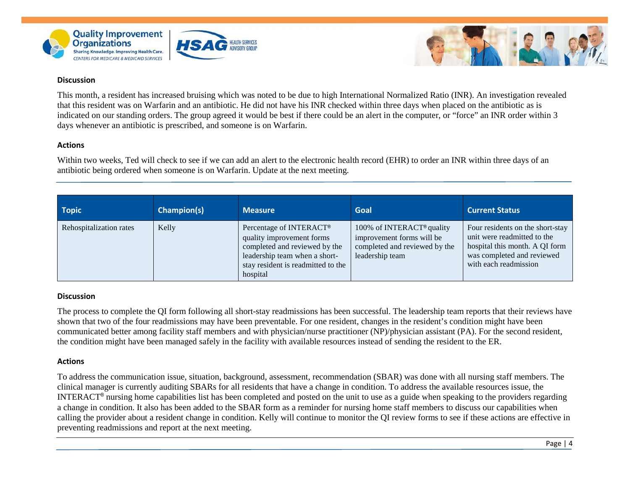



This month, a resident has increased bruising which was noted to be due to high International Normalized Ratio (INR). An investigation revealed that this resident was on Warfarin and an antibiotic. He did not have his INR checked within three days when placed on the antibiotic as is indicated on our standing orders. The group agreed it would be best if there could be an alert in the computer, or "force" an INR order within 3 days whenever an antibiotic is prescribed, and someone is on Warfarin.

#### **Actions**

Within two weeks, Ted will check to see if we can add an alert to the electronic health record (EHR) to order an INR within three days of an antibiotic being ordered when someone is on Warfarin. Update at the next meeting.

| Topic                   | <b>Champion(s)</b> | <b>Measure</b>                                                                                                                                                           | <b>Goal</b>                                                                                                            | <b>Current Status</b>                                                                                                                                    |
|-------------------------|--------------------|--------------------------------------------------------------------------------------------------------------------------------------------------------------------------|------------------------------------------------------------------------------------------------------------------------|----------------------------------------------------------------------------------------------------------------------------------------------------------|
| Rehospitalization rates | Kelly              | Percentage of INTERACT®<br>quality improvement forms<br>completed and reviewed by the<br>leadership team when a short-<br>stay resident is readmitted to the<br>hospital | 100% of INTERACT <sup>®</sup> quality<br>improvement forms will be<br>completed and reviewed by the<br>leadership team | Four residents on the short-stay<br>unit were readmitted to the<br>hospital this month. A QI form<br>was completed and reviewed<br>with each readmission |

#### **Discussion**

The process to complete the QI form following all short-stay readmissions has been successful. The leadership team reports that their reviews have shown that two of the four readmissions may have been preventable. For one resident, changes in the resident's condition might have been communicated better among facility staff members and with physician/nurse practitioner (NP)/physician assistant (PA). For the second resident, the condition might have been managed safely in the facility with available resources instead of sending the resident to the ER.

#### **Actions**

To address the communication issue, situation, background, assessment, recommendation (SBAR) was done with all nursing staff members. The clinical manager is currently auditing SBARs for all residents that have a change in condition. To address the available resources issue, the INTERACT® nursing home capabilities list has been completed and posted on the unit to use as a guide when speaking to the providers regarding a change in condition. It also has been added to the SBAR form as a reminder for nursing home staff members to discuss our capabilities when calling the provider about a resident change in condition. Kelly will continue to monitor the QI review forms to see if these actions are effective in preventing readmissions and report at the next meeting.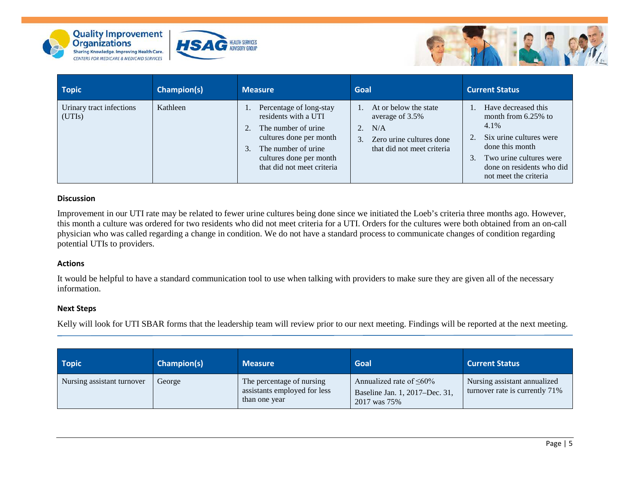





| <b>Topic</b>                       | Champion(s) | <b>Measure</b>                                                                                                                                                                           | Goal                                                                                                                              | <b>Current Status</b>                                                                                                                                                                                 |
|------------------------------------|-------------|------------------------------------------------------------------------------------------------------------------------------------------------------------------------------------------|-----------------------------------------------------------------------------------------------------------------------------------|-------------------------------------------------------------------------------------------------------------------------------------------------------------------------------------------------------|
| Urinary tract infections<br>(UTIs) | Kathleen    | Percentage of long-stay<br>residents with a UTI<br>The number of urine.<br>cultures done per month<br>The number of urine<br>3.<br>cultures done per month<br>that did not meet criteria | At or below the state<br>average of 3.5%<br>N/A<br>2.<br>Zero urine cultures done<br>3 <sub>1</sub><br>that did not meet criteria | Have decreased this<br>month from 6.25% to<br>4.1%<br>Six urine cultures were<br>done this month<br>Two urine cultures were<br>$\mathfrak{Z}$ .<br>done on residents who did<br>not meet the criteria |

Improvement in our UTI rate may be related to fewer urine cultures being done since we initiated the Loeb's criteria three months ago. However, this month a culture was ordered for two residents who did not meet criteria for a UTI. Orders for the cultures were both obtained from an on-call physician who was called regarding a change in condition. We do not have a standard process to communicate changes of condition regarding potential UTIs to providers.

#### **Actions**

It would be helpful to have a standard communication tool to use when talking with providers to make sure they are given all of the necessary information.

#### **Next Steps**

Kelly will look for UTI SBAR forms that the leadership team will review prior to our next meeting. Findings will be reported at the next meeting.

| <b>Topic</b>               | Champion(s) | <b>Measure</b>                                                             | <b>Goal</b>                                                                      | <b>Current Status</b>                                          |
|----------------------------|-------------|----------------------------------------------------------------------------|----------------------------------------------------------------------------------|----------------------------------------------------------------|
| Nursing assistant turnover | George      | The percentage of nursing<br>assistants employed for less<br>than one year | Annualized rate of $\leq 60\%$<br>Baseline Jan. 1, 2017–Dec. 31,<br>2017 was 75% | Nursing assistant annualized<br>turnover rate is currently 71% |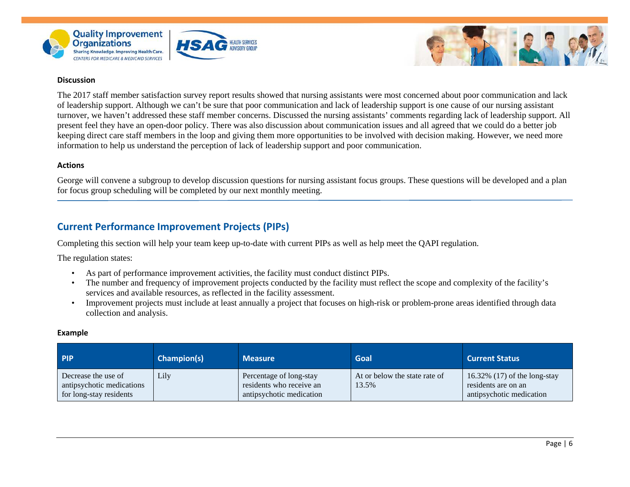



The 2017 staff member satisfaction survey report results showed that nursing assistants were most concerned about poor communication and lack of leadership support. Although we can't be sure that poor communication and lack of leadership support is one cause of our nursing assistant turnover, we haven't addressed these staff member concerns. Discussed the nursing assistants' comments regarding lack of leadership support. All present feel they have an open-door policy. There was also discussion about communication issues and all agreed that we could do a better job keeping direct care staff members in the loop and giving them more opportunities to be involved with decision making. However, we need more information to help us understand the perception of lack of leadership support and poor communication.

#### **Actions**

George will convene a subgroup to develop discussion questions for nursing assistant focus groups. These questions will be developed and a plan for focus group scheduling will be completed by our next monthly meeting.

### **Current Performance Improvement Projects (PIPs)**

Completing this section will help your team keep up-to-date with current PIPs as well as help meet the QAPI regulation.

The regulation states:

• As part of performance improvement activities, the facility must conduct distinct PIPs.

EALTH SERVICES

- The number and frequency of improvement projects conducted by the facility must reflect the scope and complexity of the facility's services and available resources, as reflected in the facility assessment.
- Improvement projects must include at least annually a project that focuses on high-risk or problem-prone areas identified through data collection and analysis.

#### **Example**

| <b>PIP</b>                                                                  | <b>Champion(s)</b> | <b>Measure</b>                                                                  | <b>Goal</b>                            | <b>Current Status</b>                                                             |
|-----------------------------------------------------------------------------|--------------------|---------------------------------------------------------------------------------|----------------------------------------|-----------------------------------------------------------------------------------|
| Decrease the use of<br>antipsychotic medications<br>for long-stay residents | Lily               | Percentage of long-stay<br>residents who receive an<br>antipsychotic medication | At or below the state rate of<br>13.5% | 16.32% $(17)$ of the long-stay<br>residents are on an<br>antipsychotic medication |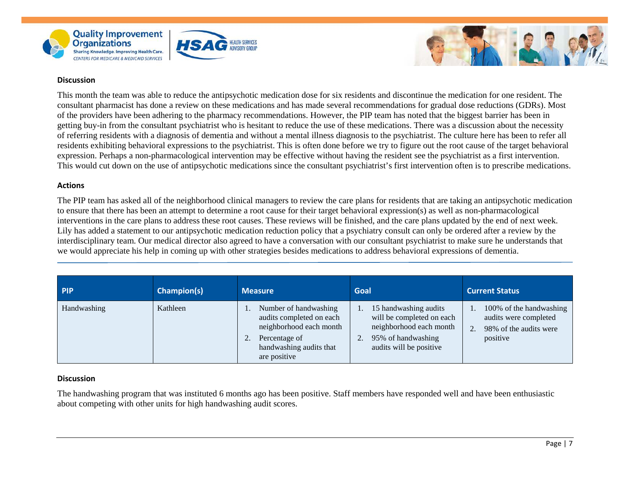



This month the team was able to reduce the antipsychotic medication dose for six residents and discontinue the medication for one resident. The consultant pharmacist has done a review on these medications and has made several recommendations for gradual dose reductions (GDRs). Most of the providers have been adhering to the pharmacy recommendations. However, the PIP team has noted that the biggest barrier has been in getting buy-in from the consultant psychiatrist who is hesitant to reduce the use of these medications. There was a discussion about the necessity of referring residents with a diagnosis of dementia and without a mental illness diagnosis to the psychiatrist. The culture here has been to refer all residents exhibiting behavioral expressions to the psychiatrist. This is often done before we try to figure out the root cause of the target behavioral expression. Perhaps a non-pharmacological intervention may be effective without having the resident see the psychiatrist as a first intervention. This would cut down on the use of antipsychotic medications since the consultant psychiatrist's first intervention often is to prescribe medications.

**EALTH SERVICES** 

#### **Actions**

The PIP team has asked all of the neighborhood clinical managers to review the care plans for residents that are taking an antipsychotic medication to ensure that there has been an attempt to determine a root cause for their target behavioral expression(s) as well as non-pharmacological interventions in the care plans to address these root causes. These reviews will be finished, and the care plans updated by the end of next week. Lily has added a statement to our antipsychotic medication reduction policy that a psychiatry consult can only be ordered after a review by the interdisciplinary team. Our medical director also agreed to have a conversation with our consultant psychiatrist to make sure he understands that we would appreciate his help in coming up with other strategies besides medications to address behavioral expressions of dementia.

| <b>PIP</b>  | Champion(s) | <b>Measure</b>                                                                                                                           | <b>Goal</b>                                                                                                                    | <b>Current Status</b>                                                                  |
|-------------|-------------|------------------------------------------------------------------------------------------------------------------------------------------|--------------------------------------------------------------------------------------------------------------------------------|----------------------------------------------------------------------------------------|
| Handwashing | Kathleen    | Number of handwashing<br>audits completed on each<br>neighborhood each month<br>Percentage of<br>handwashing audits that<br>are positive | 15 handwashing audits<br>will be completed on each<br>neighborhood each month<br>95% of handwashing<br>audits will be positive | 100% of the handwashing<br>audits were completed<br>98% of the audits were<br>positive |

#### **Discussion**

The handwashing program that was instituted 6 months ago has been positive. Staff members have responded well and have been enthusiastic about competing with other units for high handwashing audit scores.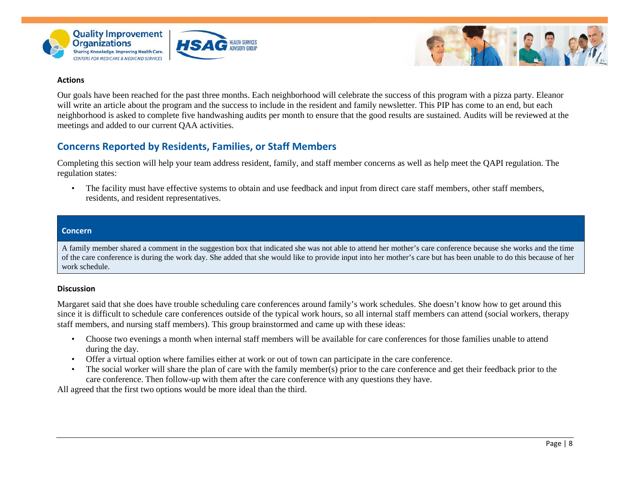



#### **Actions**

Our goals have been reached for the past three months. Each neighborhood will celebrate the success of this program with a pizza party. Eleanor will write an article about the program and the success to include in the resident and family newsletter. This PIP has come to an end, but each neighborhood is asked to complete five handwashing audits per month to ensure that the good results are sustained. Audits will be reviewed at the meetings and added to our current QAA activities.

### **Concerns Reported by Residents, Families, or Staff Members**

Completing this section will help your team address resident, family, and staff member concerns as well as help meet the QAPI regulation. The regulation states:

• The facility must have effective systems to obtain and use feedback and input from direct care staff members, other staff members, residents, and resident representatives.

#### **Concern**

A family member shared a comment in the suggestion box that indicated she was not able to attend her mother's care conference because she works and the time of the care conference is during the work day. She added that she would like to provide input into her mother's care but has been unable to do this because of her work schedule.

#### **Discussion**

Margaret said that she does have trouble scheduling care conferences around family's work schedules. She doesn't know how to get around this since it is difficult to schedule care conferences outside of the typical work hours, so all internal staff members can attend (social workers, therapy staff members, and nursing staff members). This group brainstormed and came up with these ideas:

- Choose two evenings a month when internal staff members will be available for care conferences for those families unable to attend during the day.
- Offer a virtual option where families either at work or out of town can participate in the care conference.
- The social worker will share the plan of care with the family member(s) prior to the care conference and get their feedback prior to the care conference. Then follow-up with them after the care conference with any questions they have.

All agreed that the first two options would be more ideal than the third.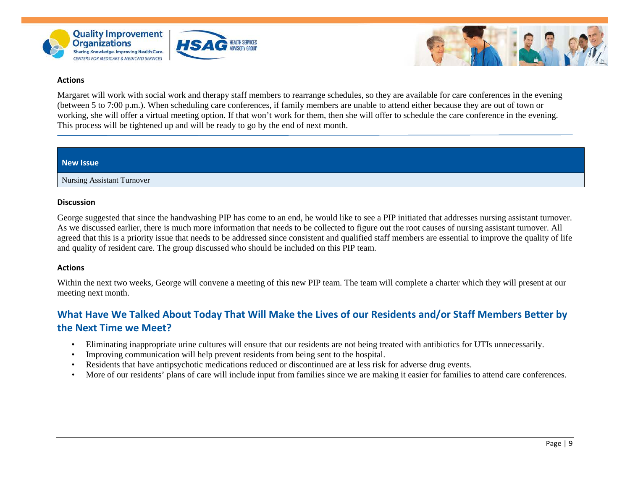



#### **Actions**

Margaret will work with social work and therapy staff members to rearrange schedules, so they are available for care conferences in the evening (between 5 to 7:00 p.m.). When scheduling care conferences, if family members are unable to attend either because they are out of town or working, she will offer a virtual meeting option. If that won't work for them, then she will offer to schedule the care conference in the evening. This process will be tightened up and will be ready to go by the end of next month.

#### **New Issue**

Nursing Assistant Turnover

#### **Discussion**

George suggested that since the handwashing PIP has come to an end, he would like to see a PIP initiated that addresses nursing assistant turnover. As we discussed earlier, there is much more information that needs to be collected to figure out the root causes of nursing assistant turnover. All agreed that this is a priority issue that needs to be addressed since consistent and qualified staff members are essential to improve the quality of life and quality of resident care. The group discussed who should be included on this PIP team.

#### **Actions**

Within the next two weeks, George will convene a meeting of this new PIP team. The team will complete a charter which they will present at our meeting next month.

## **What Have We Talked About Today That Will Make the Lives of our Residents and/or Staff Members Better by the Next Time we Meet?**

- Eliminating inappropriate urine cultures will ensure that our residents are not being treated with antibiotics for UTIs unnecessarily.
- Improving communication will help prevent residents from being sent to the hospital.
- Residents that have antipsychotic medications reduced or discontinued are at less risk for adverse drug events.
- More of our residents' plans of care will include input from families since we are making it easier for families to attend care conferences.